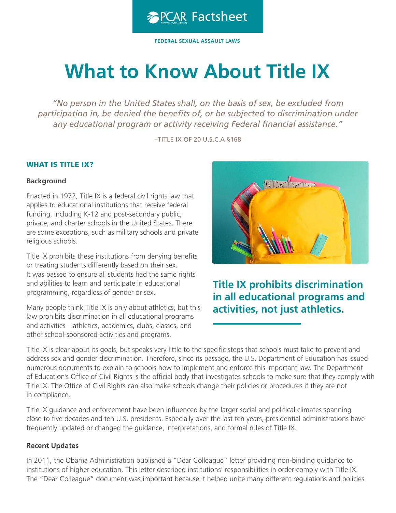

**FEDERAL SEXUAL ASSAULT LAWS** 

# **What to Know About Title IX**

*"No person in the United States shall, on the basis of sex, be excluded from participation in, be denied the benefts of, or be subjected to discrimination under*  any educational program or activity receiving Federal financial assistance."

–TITLE IX OF 20 U.S.C.A §168

#### WHAT IS TITLE IX?

#### **Background**

Enacted in 1972, Title IX is a federal civil rights law that applies to educational institutions that receive federal funding, including K-12 and post-secondary public, private, and charter schools in the United States. There are some exceptions, such as military schools and private religious schools.

Title IX prohibits these institutions from denying benefits or treating students differently based on their sex. It was passed to ensure all students had the same rights and abilities to learn and participate in educational programming, regardless of gender or sex.

Many people think Title IX is only about athletics, but this law prohibits discrimination in all educational programs and activities—athletics, academics, clubs, classes, and other school-sponsored activities and programs.



**Title IX prohibits discrimination in all educational programs and activities, not just athletics.**

Title IX is clear about its goals, but speaks very little to the specifc steps that schools must take to prevent and address sex and gender discrimination. Therefore, since its passage, the U.S. Department of Education has issued numerous documents to explain to schools how to implement and enforce this important law. The Department of Education's Office of Civil Rights is the official body that investigates schools to make sure that they comply with Title IX. The Office of Civil Rights can also make schools change their policies or procedures if they are not in compliance.

Title IX guidance and enforcement have been infuenced by the larger social and political climates spanning close to five decades and ten U.S. presidents. Especially over the last ten years, presidential administrations have frequently updated or changed the guidance, interpretations, and formal rules of Title IX.

#### **Recent Updates**

In 2011, the Obama Administration published a "Dear Colleague" letter providing non-binding guidance to institutions of higher education. This letter described institutions' responsibilities in order comply with Title IX. The "Dear Colleague" document was important because it helped unite many different regulations and policies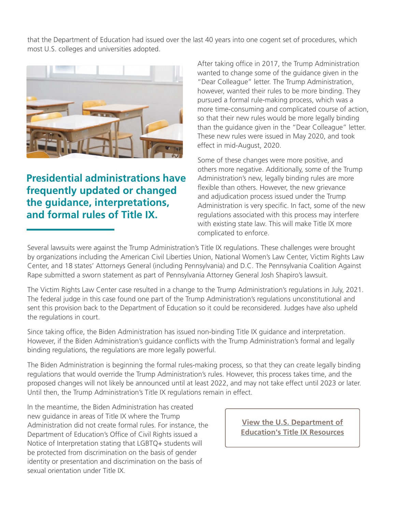that the Department of Education had issued over the last 40 years into one cogent set of procedures, which most U.S. colleges and universities adopted.



# **Presidential administrations have frequently updated or changed the guidance, interpretations, and formal rules of Title IX.**

After taking office in 2017, the Trump Administration wanted to change some of the guidance given in the "Dear Colleague" letter. The Trump Administration, however, wanted their rules to be more binding. They pursued a formal rule-making process, which was a more time-consuming and complicated course of action, so that their new rules would be more legally binding than the guidance given in the "Dear Colleague" letter. These new rules were issued in May 2020, and took effect in mid-August, 2020.

Some of these changes were more positive, and others more negative. Additionally, some of the Trump Administration's new, legally binding rules are more flexible than others. However, the new grievance and adjudication process issued under the Trump Administration is very specific. In fact, some of the new regulations associated with this process may interfere with existing state law. This will make Title IX more complicated to enforce.

Several lawsuits were against the Trump Administration's Title IX regulations. These challenges were brought by organizations including the American Civil Liberties Union, National Women's Law Center, Victim Rights Law Center, and 18 states' Attorneys General (including Pennsylvania) and D.C. The Pennsylvania Coalition Against Rape submitted a sworn statement as part of Pennsylvania Attorney General Josh Shapiro's lawsuit.

The Victim Rights Law Center case resulted in a change to the Trump Administration's regulations in July, 2021. The federal judge in this case found one part of the Trump Administration's regulations unconstitutional and sent this provision back to the Department of Education so it could be reconsidered. Judges have also upheld the regulations in court.

Since taking office, the Biden Administration has issued non-binding Title IX guidance and interpretation. However, if the Biden Administration's guidance conficts with the Trump Administration's formal and legally binding regulations, the regulations are more legally powerful.

The Biden Administration is beginning the formal rules-making process, so that they can create legally binding regulations that would override the Trump Administration's rules. However, this process takes time, and the proposed changes will not likely be announced until at least 2022, and may not take effect until 2023 or later. Until then, the Trump Administration's Title IX regulations remain in effect.

In the meantime, the Biden Administration has created new guidance in areas of Title IX where the Trump Administration did not create formal rules. For instance, the Department of Education's Office of Civil Rights issued a Notice of Interpretation stating that LGBTQ+ students will be protected from discrimination on the basis of gender identity or presentation and discrimination on the basis of sexual orientation under Title IX.

**[View the U.S. Department of](https://sites.ed.gov/titleix/policy/)  [Education's Title IX Resources](https://sites.ed.gov/titleix/policy/)**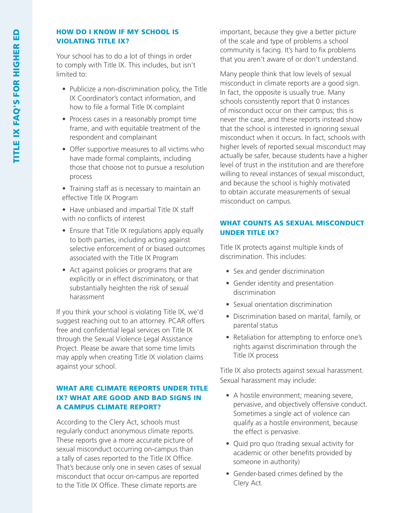#### HOW DO I KNOW IF MY SCHOOL IS VIOLATING TITLE IX?

Your school has to do a lot of things in order to comply with Title IX. This includes, but isn't limited to:

- Publicize a non-discrimination policy, the Title IX Coordinator's contact information, and how to file a formal Title IX complaint
- Process cases in a reasonably prompt time frame, and with equitable treatment of the respondent and complainant
- Offer supportive measures to all victims who have made formal complaints, including those that choose not to pursue a resolution process
- Training staff as is necessary to maintain an effective Title IX Program
- Have unbiased and impartial Title IX staff with no conficts of interest
- Ensure that Title IX regulations apply equally to both parties, including acting against selective enforcement of or biased outcomes associated with the Title IX Program
- Act against policies or programs that are explicitly or in effect discriminatory, or that substantially heighten the risk of sexual harassment

If you think your school is violating Title IX, we'd suggest reaching out to an attorney. PCAR offers free and confidential legal services on Title IX through the Sexual Violence Legal Assistance Project. Please be aware that some time limits may apply when creating Title IX violation claims against your school.

# WHAT ARE CLIMATE REPORTS UNDER TITLE IX? WHAT ARE GOOD AND BAD SIGNS IN A CAMPUS CLIMATE REPORT?

According to the Clery Act, schools must regularly conduct anonymous climate reports. These reports give a more accurate picture of sexual misconduct occurring on-campus than a tally of cases reported to the Title IX Office. That's because only one in seven cases of sexual misconduct that occur on-campus are reported to the Title IX Office. These climate reports are

important, because they give a better picture of the scale and type of problems a school community is facing. It's hard to fix problems that you aren't aware of or don't understand.

Many people think that low levels of sexual misconduct in climate reports are a good sign. In fact, the opposite is usually true. Many schools consistently report that 0 instances of misconduct occur on their campus; this is never the case, and these reports instead show that the school is interested in ignoring sexual misconduct when it occurs. In fact, schools with higher levels of reported sexual misconduct may actually be safer, because students have a higher level of trust in the institution and are therefore willing to reveal instances of sexual misconduct, and because the school is highly motivated to obtain accurate measurements of sexual misconduct on campus.

# WHAT COUNTS AS SEXUAL MISCONDUCT UNDER TITLE IX?

Title IX protects against multiple kinds of discrimination. This includes:

- Sex and gender discrimination
- Gender identity and presentation discrimination
- Sexual orientation discrimination
- Discrimination based on marital, family, or parental status
- Retaliation for attempting to enforce one's rights against discrimination through the Title IX process

Title IX also protects against sexual harassment. Sexual harassment may include:

- A hostile environment; meaning severe, pervasive, and objectively offensive conduct. Sometimes a single act of violence can qualify as a hostile environment, because the effect is pervasive.
- Quid pro quo (trading sexual activity for academic or other benefits provided by someone in authority)
- Gender-based crimes defined by the Clery Act.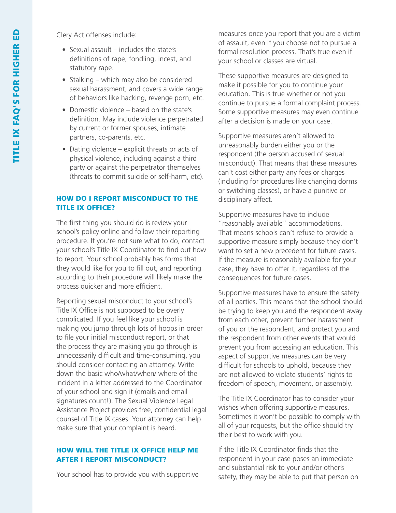Clery Act offenses include:

- Sexual assault includes the state's definitions of rape, fondling, incest, and statutory rape.
- Stalking which may also be considered sexual harassment, and covers a wide range of behaviors like hacking, revenge porn, etc.
- Domestic violence based on the state's definition. May include violence perpetrated by current or former spouses, intimate partners, co-parents, etc.
- Dating violence explicit threats or acts of physical violence, including against a third party or against the perpetrator themselves (threats to commit suicide or self-harm, etc).

#### HOW DO I REPORT MISCONDUCT TO THE TITLE IX OFFICE?

The first thing you should do is review your school's policy online and follow their reporting procedure. If you're not sure what to do, contact your school's Title IX Coordinator to find out how to report. Your school probably has forms that they would like for you to fill out, and reporting according to their procedure will likely make the process quicker and more efficient.

Reporting sexual misconduct to your school's Title IX Office is not supposed to be overly complicated. If you feel like your school is making you jump through lots of hoops in order to file your initial misconduct report, or that the process they are making you go through is unnecessarily difficult and time-consuming, you should consider contacting an attorney. Write down the basic who/what/when/ where of the incident in a letter addressed to the Coordinator of your school and sign it (emails and email signatures count!). The Sexual Violence Legal Assistance Project provides free, confidential legal counsel of Title IX cases. Your attorney can help make sure that your complaint is heard.

#### HOW WILL THE TITLE IX OFFICE HELP ME AFTER I REPORT MISCONDUCT?

Your school has to provide you with supportive

measures once you report that you are a victim of assault, even if you choose not to pursue a formal resolution process. That's true even if your school or classes are virtual.

These supportive measures are designed to make it possible for you to continue your education. This is true whether or not you continue to pursue a formal complaint process. Some supportive measures may even continue after a decision is made on your case.

Supportive measures aren't allowed to unreasonably burden either you or the respondent (the person accused of sexual misconduct). That means that these measures can't cost either party any fees or charges (including for procedures like changing dorms or switching classes), or have a punitive or disciplinary affect.

Supportive measures have to include "reasonably available" accommodations. That means schools can't refuse to provide a supportive measure simply because they don't want to set a new precedent for future cases. If the measure is reasonably available for your case, they have to offer it, regardless of the consequences for future cases.

Supportive measures have to ensure the safety of all parties. This means that the school should be trying to keep you and the respondent away from each other, prevent further harassment of you or the respondent, and protect you and the respondent from other events that would prevent you from accessing an education. This aspect of supportive measures can be very difficult for schools to uphold, because they are not allowed to violate students' rights to freedom of speech, movement, or assembly.

The Title IX Coordinator has to consider your wishes when offering supportive measures. Sometimes it won't be possible to comply with all of your requests, but the office should try their best to work with you.

If the Title IX Coordinator finds that the respondent in your case poses an immediate and substantial risk to your and/or other's safety, they may be able to put that person on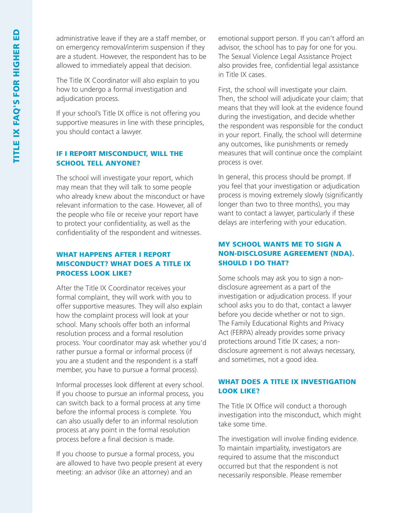administrative leave if they are a staff member, or on emergency removal/interim suspension if they are a student. However, the respondent has to be allowed to immediately appeal that decision.

The Title IX Coordinator will also explain to you how to undergo a formal investigation and adjudication process.

If your school's Title IX office is not offering you supportive measures in line with these principles, you should contact a lawyer.

### IF I REPORT MISCONDUCT, WILL THE SCHOOL TELL ANYONE?

The school will investigate your report, which may mean that they will talk to some people who already knew about the misconduct or have relevant information to the case. However, all of the people who file or receive your report have to protect your confidentiality, as well as the confidentiality of the respondent and witnesses.

# WHAT HAPPENS AFTER I REPORT MISCONDUCT? WHAT DOES A TITLE IX PROCESS LOOK LIKE?

After the Title IX Coordinator receives your formal complaint, they will work with you to offer supportive measures. They will also explain how the complaint process will look at your school. Many schools offer both an informal resolution process and a formal resolution process. Your coordinator may ask whether you'd rather pursue a formal or informal process (if you are a student and the respondent is a staff member, you have to pursue a formal process).

Informal processes look different at every school. If you choose to pursue an informal process, you can switch back to a formal process at any time before the informal process is complete. You can also usually defer to an informal resolution process at any point in the formal resolution process before a final decision is made.

If you choose to pursue a formal process, you are allowed to have two people present at every meeting: an advisor (like an attorney) and an

emotional support person. If you can't afford an advisor, the school has to pay for one for you. The Sexual Violence Legal Assistance Project also provides free, confidential legal assistance in Title IX cases.

First, the school will investigate your claim. Then, the school will adjudicate your claim; that means that they will look at the evidence found during the investigation, and decide whether the respondent was responsible for the conduct in your report. Finally, the school will determine any outcomes, like punishments or remedy measures that will continue once the complaint process is over.

In general, this process should be prompt. If you feel that your investigation or adjudication process is moving extremely slowly (significantly longer than two to three months), you may want to contact a lawyer, particularly if these delays are interfering with your education.

# MY SCHOOL WANTS ME TO SIGN A NON-DISCLOSURE AGREEMENT (NDA). SHOULD I DO THAT?

Some schools may ask you to sign a nondisclosure agreement as a part of the investigation or adjudication process. If your school asks you to do that, contact a lawyer before you decide whether or not to sign. The Family Educational Rights and Privacy Act (FERPA) already provides some privacy protections around Title IX cases; a nondisclosure agreement is not always necessary, and sometimes, not a good idea.

### WHAT DOES A TITLE IX INVESTIGATION LOOK LIKE?

The Title IX Office will conduct a thorough investigation into the misconduct, which might take some time.

The investigation will involve finding evidence. To maintain impartiality, investigators are required to assume that the misconduct occurred but that the respondent is not necessarily responsible. Please remember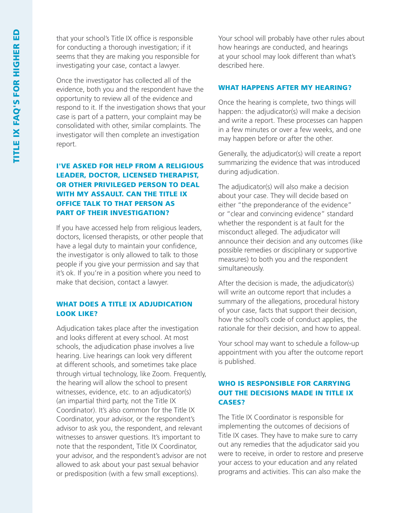that your school's Title IX office is responsible for conducting a thorough investigation; if it seems that they are making you responsible for investigating your case, contact a lawyer.

Once the investigator has collected all of the evidence, both you and the respondent have the opportunity to review all of the evidence and respond to it. If the investigation shows that your case is part of a pattern, your complaint may be consolidated with other, similar complaints. The investigator will then complete an investigation report.

# I'VE ASKED FOR HELP FROM A RELIGIOUS LEADER, DOCTOR, LICENSED THERAPIST, OR OTHER PRIVILEGED PERSON TO DEAL WITH MY ASSAULT. CAN THE TITLE IX OFFICE TALK TO THAT PERSON AS PART OF THEIR INVESTIGATION?

If you have accessed help from religious leaders, doctors, licensed therapists, or other people that have a legal duty to maintain your confidence, the investigator is only allowed to talk to those people if you give your permission and say that it's ok. If you're in a position where you need to make that decision, contact a lawyer.

#### WHAT DOES A TITLE IX ADJUDICATION LOOK LIKE?

Adjudication takes place after the investigation and looks different at every school. At most schools, the adjudication phase involves a live hearing. Live hearings can look very different at different schools, and sometimes take place through virtual technology, like Zoom. Frequently, the hearing will allow the school to present witnesses, evidence, etc. to an adjudicator(s) (an impartial third party, not the Title IX Coordinator). It's also common for the Title IX Coordinator, your advisor, or the respondent's advisor to ask you, the respondent, and relevant witnesses to answer questions. It's important to note that the respondent, Title IX Coordinator, your advisor, and the respondent's advisor are not allowed to ask about your past sexual behavior or predisposition (with a few small exceptions).

Your school will probably have other rules about how hearings are conducted, and hearings at your school may look different than what's described here.

#### WHAT HAPPENS AFTER MY HEARING?

Once the hearing is complete, two things will happen: the adjudicator(s) will make a decision and write a report. These processes can happen in a few minutes or over a few weeks, and one may happen before or after the other.

Generally, the adjudicator(s) will create a report summarizing the evidence that was introduced during adjudication.

The adjudicator(s) will also make a decision about your case. They will decide based on either "the preponderance of the evidence" or "clear and convincing evidence" standard whether the respondent is at fault for the misconduct alleged. The adjudicator will announce their decision and any outcomes (like possible remedies or disciplinary or supportive measures) to both you and the respondent simultaneously.

After the decision is made, the adjudicator(s) will write an outcome report that includes a summary of the allegations, procedural history of your case, facts that support their decision, how the school's code of conduct applies, the rationale for their decision, and how to appeal.

Your school may want to schedule a follow-up appointment with you after the outcome report is published.

### WHO IS RESPONSIBLE FOR CARRYING OUT THE DECISIONS MADE IN TITLE IX CASES?

The Title IX Coordinator is responsible for implementing the outcomes of decisions of Title IX cases. They have to make sure to carry out any remedies that the adjudicator said you were to receive, in order to restore and preserve your access to your education and any related programs and activities. This can also make the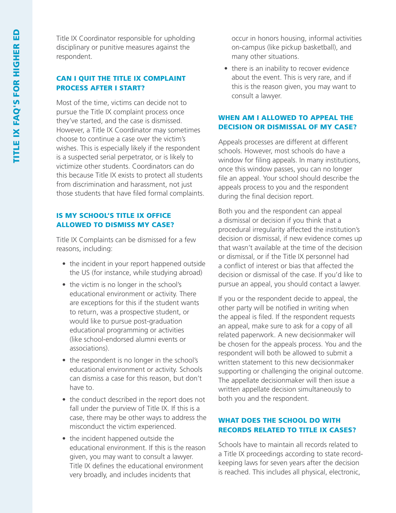Title IX Coordinator responsible for upholding disciplinary or punitive measures against the respondent.

#### CAN I QUIT THE TITLE IX COMPLAINT PROCESS AFTER I START?

Most of the time, victims can decide not to pursue the Title IX complaint process once they've started, and the case is dismissed. However, a Title IX Coordinator may sometimes choose to continue a case over the victim's wishes. This is especially likely if the respondent is a suspected serial perpetrator, or is likely to victimize other students. Coordinators can do this because Title IX exists to protect all students from discrimination and harassment, not just those students that have filed formal complaints.

# IS MY SCHOOL'S TITLE IX OFFICE ALLOWED TO DISMISS MY CASE?

Title IX Complaints can be dismissed for a few reasons, including:

- the incident in your report happened outside the US (for instance, while studying abroad)
- the victim is no longer in the school's educational environment or activity. There are exceptions for this if the student wants to return, was a prospective student, or would like to pursue post-graduation educational programming or activities (like school-endorsed alumni events or associations).
- the respondent is no longer in the school's educational environment or activity. Schools can dismiss a case for this reason, but don't have to.
- the conduct described in the report does not fall under the purview of Title IX. If this is a case, there may be other ways to address the misconduct the victim experienced.
- the incident happened outside the educational environment. If this is the reason given, you may want to consult a lawyer. Title IX defines the educational environment very broadly, and includes incidents that

occur in honors housing, informal activities on-campus (like pickup basketball), and many other situations.

• there is an inability to recover evidence about the event. This is very rare, and if this is the reason given, you may want to consult a lawyer.

# WHEN AM I ALLOWED TO APPEAL THE DECISION OR DISMISSAL OF MY CASE?

Appeals processes are different at different schools. However, most schools do have a window for filing appeals. In many institutions, once this window passes, you can no longer file an appeal. Your school should describe the appeals process to you and the respondent during the final decision report.

Both you and the respondent can appeal a dismissal or decision if you think that a procedural irregularity affected the institution's decision or dismissal, if new evidence comes up that wasn't available at the time of the decision or dismissal, or if the Title IX personnel had a confict of interest or bias that affected the decision or dismissal of the case. If you'd like to pursue an appeal, you should contact a lawyer.

If you or the respondent decide to appeal, the other party will be notified in writing when the appeal is filed. If the respondent requests an appeal, make sure to ask for a copy of all related paperwork. A new decisionmaker will be chosen for the appeals process. You and the respondent will both be allowed to submit a written statement to this new decisionmaker supporting or challenging the original outcome. The appellate decisionmaker will then issue a written appellate decision simultaneously to both you and the respondent.

# WHAT DOES THE SCHOOL DO WITH RECORDS RELATED TO TITLE IX CASES?

Schools have to maintain all records related to a Title IX proceedings according to state recordkeeping laws for seven years after the decision is reached. This includes all physical, electronic,